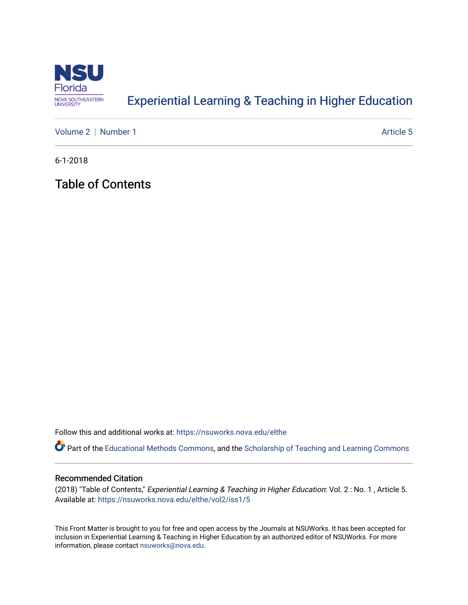

## [Experiential Learning & Teaching in Higher Education](https://nsuworks.nova.edu/elthe)

[Volume 2](https://nsuworks.nova.edu/elthe/vol2) | [Number 1](https://nsuworks.nova.edu/elthe/vol2/iss1) Article 5

6-1-2018

Table of Contents

Follow this and additional works at: [https://nsuworks.nova.edu/elthe](https://nsuworks.nova.edu/elthe?utm_source=nsuworks.nova.edu%2Felthe%2Fvol2%2Fiss1%2F5&utm_medium=PDF&utm_campaign=PDFCoverPages)

Part of the [Educational Methods Commons,](http://network.bepress.com/hgg/discipline/1227?utm_source=nsuworks.nova.edu%2Felthe%2Fvol2%2Fiss1%2F5&utm_medium=PDF&utm_campaign=PDFCoverPages) and the [Scholarship of Teaching and Learning Commons](http://network.bepress.com/hgg/discipline/1328?utm_source=nsuworks.nova.edu%2Felthe%2Fvol2%2Fiss1%2F5&utm_medium=PDF&utm_campaign=PDFCoverPages) 

## Recommended Citation

(2018) "Table of Contents," Experiential Learning & Teaching in Higher Education: Vol. 2 : No. 1 , Article 5. Available at: [https://nsuworks.nova.edu/elthe/vol2/iss1/5](https://nsuworks.nova.edu/elthe/vol2/iss1/5?utm_source=nsuworks.nova.edu%2Felthe%2Fvol2%2Fiss1%2F5&utm_medium=PDF&utm_campaign=PDFCoverPages)

This Front Matter is brought to you for free and open access by the Journals at NSUWorks. It has been accepted for inclusion in Experiential Learning & Teaching in Higher Education by an authorized editor of NSUWorks. For more information, please contact [nsuworks@nova.edu.](mailto:nsuworks@nova.edu)